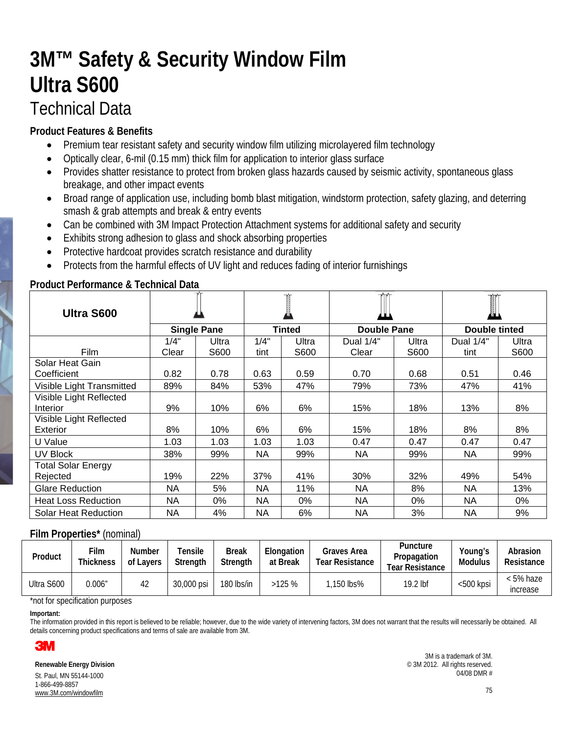# **3M™ Safety & Security Window Film Ultra S600** Technical Data

## **Product Features & Benefits**

- Premium tear resistant safety and security window film utilizing microlayered film technology
- Optically clear, 6-mil (0.15 mm) thick film for application to interior glass surface
- Provides shatter resistance to protect from broken glass hazards caused by seismic activity, spontaneous glass breakage, and other impact events
- Broad range of application use, including bomb blast mitigation, windstorm protection, safety glazing, and deterring smash & grab attempts and break & entry events
- Can be combined with 3M Impact Protection Attachment systems for additional safety and security
- Exhibits strong adhesion to glass and shock absorbing properties
- Protective hardcoat provides scratch resistance and durability
- Protects from the harmful effects of UV light and reduces fading of interior furnishings

### **Product Performance & Technical Data**

| Ultra S600                  | <b>Single Pane</b> |       |               |       |             |       |               |       |
|-----------------------------|--------------------|-------|---------------|-------|-------------|-------|---------------|-------|
|                             |                    |       | <b>Tinted</b> |       | Double Pane |       | Double tinted |       |
|                             | 1/4"               | Ultra | 1/4"          | Ultra | Dual 1/4"   | Ultra | Dual 1/4"     | Ultra |
| <b>Film</b>                 | Clear              | S600  | tint          | S600  | Clear       | S600  | tint          | S600  |
| Solar Heat Gain             |                    |       |               |       |             |       |               |       |
| Coefficient                 | 0.82               | 0.78  | 0.63          | 0.59  | 0.70        | 0.68  | 0.51          | 0.46  |
| Visible Light Transmitted   | 89%                | 84%   | 53%           | 47%   | 79%         | 73%   | 47%           | 41%   |
| Visible Light Reflected     |                    |       |               |       |             |       |               |       |
| Interior                    | 9%                 | 10%   | 6%            | 6%    | 15%         | 18%   | 13%           | 8%    |
| Visible Light Reflected     |                    |       |               |       |             |       |               |       |
| Exterior                    | 8%                 | 10%   | 6%            | 6%    | 15%         | 18%   | 8%            | 8%    |
| U Value                     | 1.03               | 1.03  | 1.03          | 1.03  | 0.47        | 0.47  | 0.47          | 0.47  |
| UV Block                    | 38%                | 99%   | NA            | 99%   | NA          | 99%   | NA.           | 99%   |
| <b>Total Solar Energy</b>   |                    |       |               |       |             |       |               |       |
| Rejected                    | 19%                | 22%   | 37%           | 41%   | 30%         | 32%   | 49%           | 54%   |
| <b>Glare Reduction</b>      | NA                 | 5%    | <b>NA</b>     | 11%   | <b>NA</b>   | 8%    | <b>NA</b>     | 13%   |
| <b>Heat Loss Reduction</b>  | NA                 | 0%    | <b>NA</b>     | 0%    | NA          | $0\%$ | <b>NA</b>     | 0%    |
| <b>Solar Heat Reduction</b> | NA                 | 4%    | NA            | 6%    | NA          | 3%    | <b>NA</b>     | 9%    |

### **Film Properties\*** (nominal)

| Product    | ™ ⊺<br><b>Thickness</b> | Number<br>of Lavers | Tensile<br><b>Strenath</b> | Break<br>Strenath | Elongation<br>at Break | Graves Area<br>Tear Resistance | Puncture<br>Propagation<br>Tear Resistance | Young's<br><b>Modulus</b> | Abrasion<br>Resistance |
|------------|-------------------------|---------------------|----------------------------|-------------------|------------------------|--------------------------------|--------------------------------------------|---------------------------|------------------------|
| Ultra S600 | 0.006″                  | 42                  | 30,000 psi                 | 180 lbs/in        | >125%                  | l.150 lbs%                     | 19.2 lbf                                   | <500 kpsi                 | < 5% haze<br>increase  |

\*not for specification purposes

**Important:**

The information provided in this report is believed to be reliable; however, due to the wide variety of intervening factors, 3M does not warrant that the results will necessarily be obtained. All details concerning product specifications and terms of sale are available from 3M.



**Renewable Energy Division** St. Paul, MN 55144-1000 1-866-499-8857 www.3M.com/windowfilm

3M is a trademark of 3M. © 3M 2012. All rights reserved. 04/08 DMR #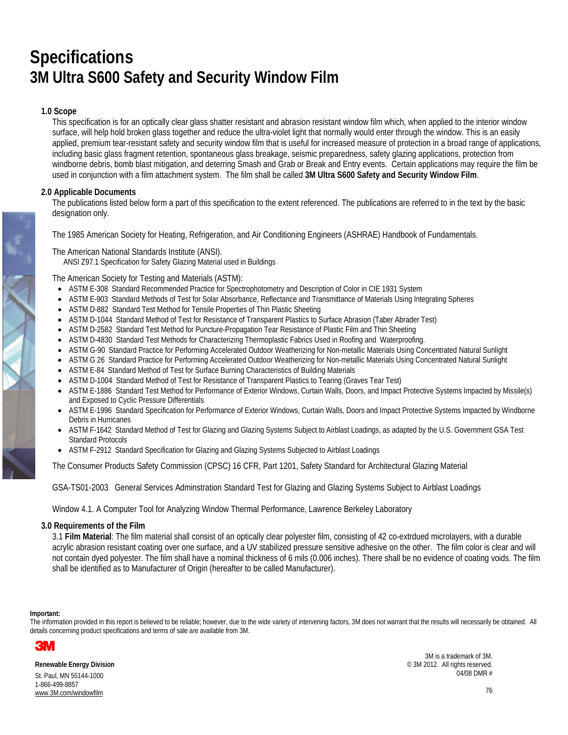## **Specifications 3M Ultra S600 Safety and Security Window Film**

#### **1.0 Scope**

This specification is for an optically clear glass shatter resistant and abrasion resistant window film which, when applied to the interior window surface, will help hold broken glass together and reduce the ultra-violet light that normally would enter through the window. This is an easily applied, premium tear-resistant safety and security window film that is useful for increased measure of protection in a broad range of applications, including basic glass fragment retention, spontaneous glass breakage, seismic preparedness, safety glazing applications, protection from windborne debris, bomb blast mitigation, and deterring Smash and Grab or Break and Entry events. Certain applications may require the film be used in conjunction with a film attachment system. The film shall be called **3M Ultra S600 Safety and Security Window Film**.

#### **2.0 Applicable Documents**

The publications listed below form a part of this specification to the extent referenced. The publications are referred to in the text by the basic designation only.

The 1985 American Society for Heating, Refrigeration, and Air Conditioning Engineers (ASHRAE) Handbook of Fundamentals.

The American National Standards Institute (ANSI).

ANSI Z97.1 Specification for Safety Glazing Material used in Buildings

The American Society for Testing and Materials (ASTM):

- ASTM E-308 Standard Recommended Practice for Spectrophotometry and Description of Color in CIE 1931 System
- ASTM E-903 Standard Methods of Test for Solar Absorbance, Reflectance and Transmittance of Materials Using Integrating Spheres
- ASTM D-882 Standard Test Method for Tensile Properties of Thin Plastic Sheeting
- ASTM D-1044 Standard Method of Test for Resistance of Transparent Plastics to Surface Abrasion (Taber Abrader Test)
- ASTM D-2582 Standard Test Method for Puncture-Propagation Tear Resistance of Plastic Film and Thin Sheeting
- ASTM D-4830 Standard Test Methods for Characterizing Thermoplastic Fabrics Used in Roofing and Waterproofing.
- ASTM G-90 Standard Practice for Performing Accelerated Outdoor Weatherizing for Non-metallic Materials Using Concentrated Natural Sunlight
- ASTM G 26 Standard Practice for Performing Accelerated Outdoor Weatherizing for Non-metallic Materials Using Concentrated Natural Sunlight
- ASTM E-84 Standard Method of Test for Surface Burning Characteristics of Building Materials
- ASTM D-1004 Standard Method of Test for Resistance of Transparent Plastics to Tearing (Graves Tear Test)
- ASTM E-1886 Standard Test Method for Performance of Exterior Windows, Curtain Walls, Doors, and Impact Protective Systems Impacted by Missile(s) and Exposed to Cyclic Pressure Differentials
- ASTM E-1996 Standard Specification for Performance of Exterior Windows, Curtain Walls, Doors and Impact Protective Systems Impacted by Windborne Debris in Hurricanes
- ASTM F-1642 Standard Method of Test for Glazing and Glazing Systems Subject to Airblast Loadings, as adapted by the U.S. Government GSA Test Standard Protocols
- ASTM F-2912 Standard Specification for Glazing and Glazing Systems Subjected to Airblast Loadings

The Consumer Products Safety Commission (CPSC) 16 CFR, Part 1201, Safety Standard for Architectural Glazing Material

GSA-TS01-2003 General Services Adminstration Standard Test for Glazing and Glazing Systems Subject to Airblast Loadings

Window 4.1. A Computer Tool for Analyzing Window Thermal Performance, Lawrence Berkeley Laboratory

#### **3.0 Requirements of the Film**

3.1 **Film Material**: The film material shall consist of an optically clear polyester film, consisting of 42 co-extrdued microlayers, with a durable acrylic abrasion resistant coating over one surface, and a UV stabilized pressure sensitive adhesive on the other. The film color is clear and will not contain dyed polyester. The film shall have a nominal thickness of 6 mils (0.006 inches). There shall be no evidence of coating voids. The film shall be identified as to Manufacturer of Origin (hereafter to be called Manufacturer).

#### **Important:**

The information provided in this report is believed to be reliable; however, due to the wide variety of intervening factors, 3M does not warrant that the results will necessarily be obtained. All details concerning product specifications and terms of sale are available from 3M.



**Renewable Energy Division** St. Paul, MN 55144-1000 1-866-499-8857 www.3M.com/windowfilm

3M is a trademark of 3M. © 3M 2012. All rights reserved. 04/08 DMR #